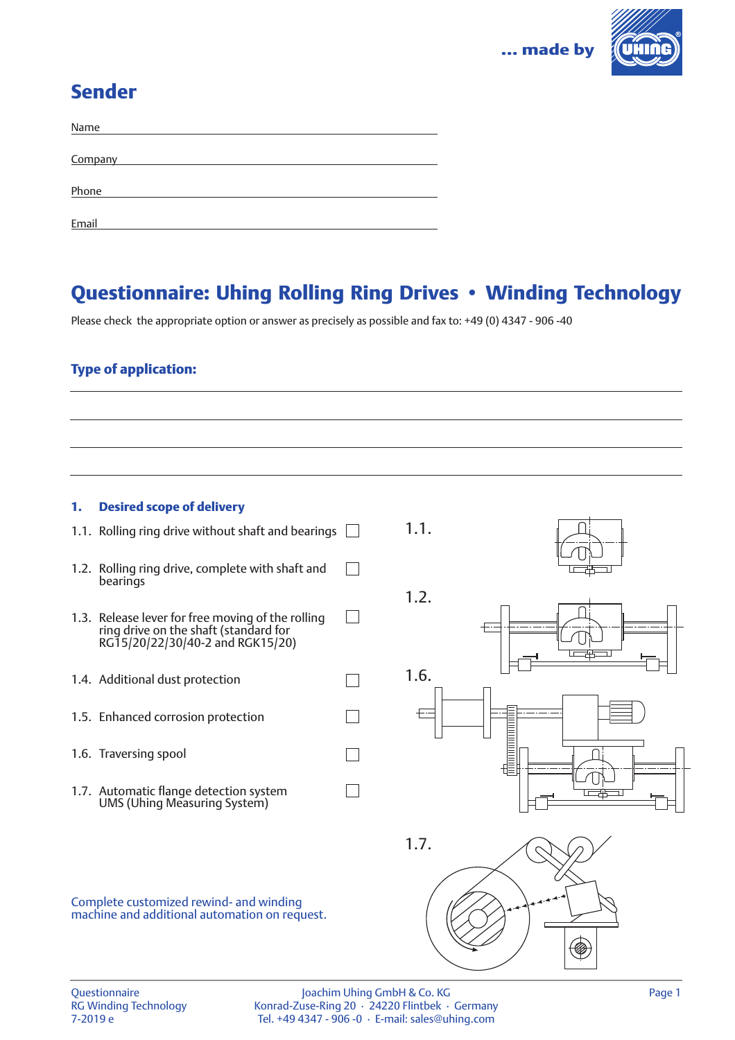

# Sender

| Name    |  |
|---------|--|
|         |  |
| Company |  |
|         |  |
| Phone   |  |
|         |  |
| Email   |  |

# Questionnaire: Uhing Rolling Ring Drives • Winding Technology

1.1.

 $\Box$ 

 $\Box$ 

 $\Box$ 

 $\Box$ 

 $\Box$ 

Please check the appropriate option or answer as precisely as possible and fax to: +49 (0) 4347 - 906 -40

## Type of application:

### 1. Desired scope of delivery

- 1.1. Rolling ring drive without shaft and bearings  $\Box$
- 1.2. Rolling ring drive, complete with shaft and  $\Box$ bearings
- 1.3. Release lever for free moving of the rolling ring drive on the shaft (standard for RG15/20/22/30/40-2 and RGK15/20)
- 1.4. Additional dust protection
- 1.5. Enhanced corrosion protection
- 1.6. Traversing spool
- 1.7. Automatic flange detection system UMS (Uhing Measuring System)







Complete customized rewind- and winding machine and additional automation on request.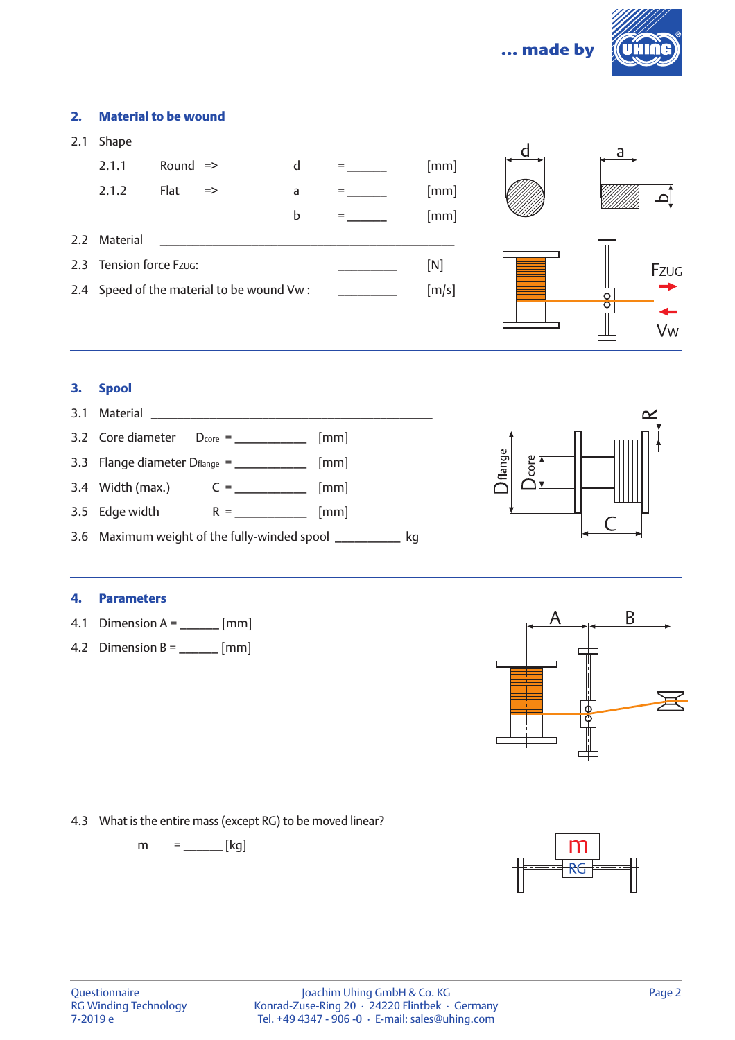



Fzug -

Vw

╨

### 2. Material to be wound

| 2.1 | <b>Shape</b>            |                     |                                           |   |     |       | a |
|-----|-------------------------|---------------------|-------------------------------------------|---|-----|-------|---|
|     | 2.1.1                   | Round $\Rightarrow$ |                                           | d | $=$ | [mm]  |   |
|     | 2.1.2                   | Flat                | $\Rightarrow$                             | a | $=$ | [mm]  |   |
|     |                         |                     |                                           | b | $=$ | [mm]  |   |
|     | 2.2 Material            |                     |                                           |   |     |       |   |
|     | 2.3 Tension force Fzug: |                     |                                           |   |     | [N]   |   |
|     |                         |                     | 2.4 Speed of the material to be wound Vw: |   |     | [m/s] | O |
|     |                         |                     |                                           |   |     |       | O |

#### 3. Spool



#### 4. Parameters

- 4.1 Dimension  $A =$  \_\_\_\_\_\_\_ [mm]
- 4.2 Dimension B =  $\frac{1}{2}$  [mm]



4.3 What is the entire mass (except RG) to be moved linear?

 $m =$   $[kg]$ 

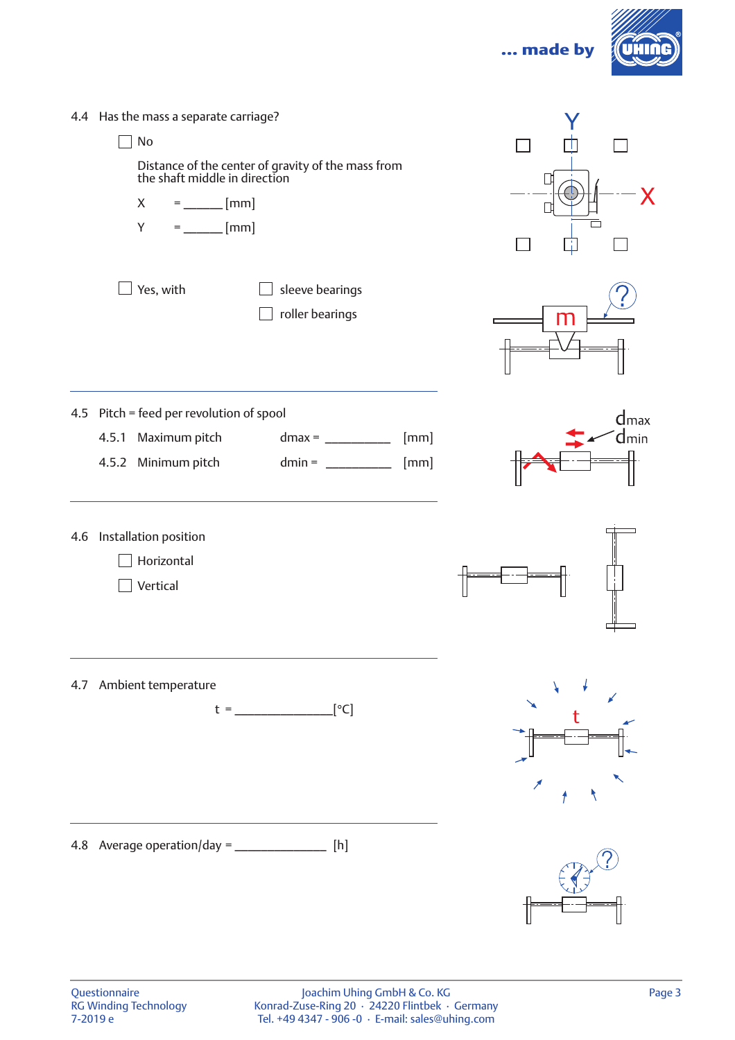... made by



| 4.4 Has the mass a separate carriage?<br>No<br>Distance of the center of gravity of the mass from<br>the shaft middle in direction<br>$=$ ________ [mm]<br>X<br>$=$ ________ [mm]<br>Y |                                      |   |                            |
|----------------------------------------------------------------------------------------------------------------------------------------------------------------------------------------|--------------------------------------|---|----------------------------|
| Yes, with<br>sleeve bearings<br>roller bearings                                                                                                                                        |                                      | m |                            |
| 4.5 Pitch = feed per revolution of spool<br>Maximum pitch<br>4.5.1<br>4.5.2 Minimum pitch                                                                                              | [mm]<br>[mm]<br>dmin = $\frac{1}{2}$ |   | $d$ <sub>max</sub><br>dmin |
| 4.6 Installation position<br>Horizontal<br>Vertical                                                                                                                                    |                                      |   |                            |
| 4.7 Ambient temperature<br>$t =$ [°C]                                                                                                                                                  |                                      |   |                            |
| 4.8 Average operation/day = $\frac{1}{1}$ [h]                                                                                                                                          |                                      |   |                            |